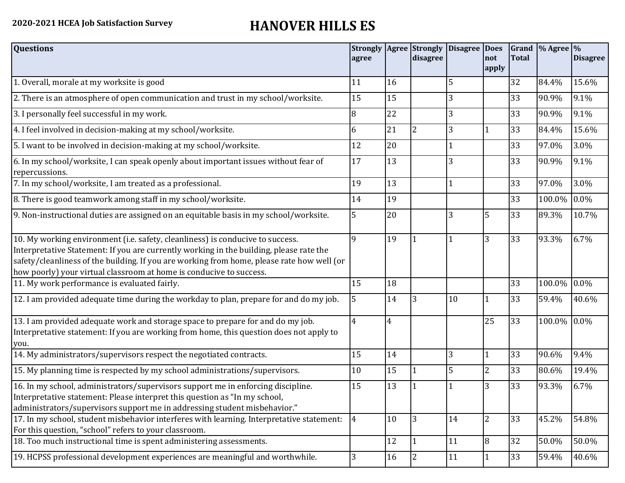## **2020-2021 HCEA Job Satisfaction Survey HANOVER HILLS ES**

| <b>Questions</b>                                                                                                                                                                                                                                                                                                                               | agree          |                | disagree     | Strongly   Agree   Strongly   Disagree   Does | not            | <b>Total</b> | Grand  % Agree  % | <b>Disagree</b> |
|------------------------------------------------------------------------------------------------------------------------------------------------------------------------------------------------------------------------------------------------------------------------------------------------------------------------------------------------|----------------|----------------|--------------|-----------------------------------------------|----------------|--------------|-------------------|-----------------|
|                                                                                                                                                                                                                                                                                                                                                |                |                |              |                                               | apply          |              |                   |                 |
| 1. Overall, morale at my worksite is good                                                                                                                                                                                                                                                                                                      | 11             | 16             |              | 5                                             |                | 32           | 84.4%             | 15.6%           |
| 2. There is an atmosphere of open communication and trust in my school/worksite.                                                                                                                                                                                                                                                               | 15             | 15             |              | 3                                             |                | 33           | 90.9%             | 9.1%            |
| 3. I personally feel successful in my work.                                                                                                                                                                                                                                                                                                    | 8              | 22             |              | 3                                             |                | 33           | 90.9%             | 9.1%            |
| 4. I feel involved in decision-making at my school/worksite.                                                                                                                                                                                                                                                                                   | 6              | 21             | <sup>2</sup> | 3                                             |                | 33           | 84.4%             | 15.6%           |
| 5. I want to be involved in decision-making at my school/worksite.                                                                                                                                                                                                                                                                             | 12             | 20             |              |                                               |                | 33           | 97.0%             | 3.0%            |
| 6. In my school/worksite, I can speak openly about important issues without fear of<br>repercussions.                                                                                                                                                                                                                                          | 17             | 13             |              | 3                                             |                | 33           | 90.9%             | 9.1%            |
| 7. In my school/worksite, I am treated as a professional.                                                                                                                                                                                                                                                                                      | 19             | 13             |              | 1                                             |                | 33           | 97.0%             | 3.0%            |
| 8. There is good teamwork among staff in my school/worksite.                                                                                                                                                                                                                                                                                   | 14             | 19             |              |                                               |                | 33           | 100.0%            | 0.0%            |
| 9. Non-instructional duties are assigned on an equitable basis in my school/worksite.                                                                                                                                                                                                                                                          | 5              | 20             |              | 3                                             | 5              | 33           | 89.3%             | 10.7%           |
| 10. My working environment (i.e. safety, cleanliness) is conducive to success.<br>Interpretative Statement: If you are currently working in the building, please rate the<br>safety/cleanliness of the building. If you are working from home, please rate how well (or<br>how poorly) your virtual classroom at home is conducive to success. | 9              | 19             |              | 1                                             | 3              | 33           | 93.3%             | 6.7%            |
| 11. My work performance is evaluated fairly.                                                                                                                                                                                                                                                                                                   | 15             | 18             |              |                                               |                | 33           | 100.0%            | 0.0%            |
| 12. I am provided adequate time during the workday to plan, prepare for and do my job.                                                                                                                                                                                                                                                         | 5              | 14             | 3            | 10                                            | 1              | 33           | 59.4%             | 40.6%           |
| 13. I am provided adequate work and storage space to prepare for and do my job.<br>Interpretative statement: If you are working from home, this question does not apply to<br>you.                                                                                                                                                             | $\overline{4}$ | $\overline{4}$ |              |                                               | 25             | 33           | 100.0% 0.0%       |                 |
| 14. My administrators/supervisors respect the negotiated contracts.                                                                                                                                                                                                                                                                            | 15             | 14             |              | 3                                             | 1              | 33           | 90.6%             | 9.4%            |
| 15. My planning time is respected by my school administrations/supervisors.                                                                                                                                                                                                                                                                    | 10             | 15             | 1            | 5                                             | $\overline{2}$ | 33           | 80.6%             | 19.4%           |
| 16. In my school, administrators/supervisors support me in enforcing discipline.<br>Interpretative statement: Please interpret this question as "In my school,<br>administrators/supervisors support me in addressing student misbehavior."                                                                                                    | 15             | 13             |              |                                               | 3              | 33           | 93.3%             | 6.7%            |
| 17. In my school, student misbehavior interferes with learning. Interpretative statement:<br>For this question, "school" refers to your classroom.                                                                                                                                                                                             | 4              | 10             | $ 3\rangle$  | 14                                            | $\overline{2}$ | 33           | 45.2%             | 54.8%           |
| 18. Too much instructional time is spent administering assessments.                                                                                                                                                                                                                                                                            |                | 12             | 11           | 11                                            | 8              | 32           | 50.0%             | 50.0%           |
| 19. HCPSS professional development experiences are meaningful and worthwhile.                                                                                                                                                                                                                                                                  | 3              | 16             | 2            | 11                                            | 1              | 33           | 59.4%             | 40.6%           |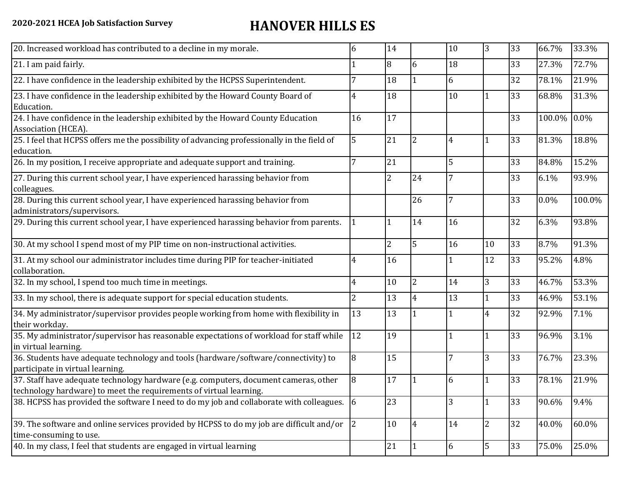## **2020-2021 HCEA Job Satisfaction Survey HANOVER HILLS ES**

| 20. Increased workload has contributed to a decline in my morale.                                                                                          | 6  | 14             |                          | 10 | 3              | 33 | 66.7%  | 33.3%               |
|------------------------------------------------------------------------------------------------------------------------------------------------------------|----|----------------|--------------------------|----|----------------|----|--------|---------------------|
| 21. I am paid fairly.                                                                                                                                      |    | 8              | 6                        | 18 |                | 33 | 27.3%  | 72.7%               |
| 22. I have confidence in the leadership exhibited by the HCPSS Superintendent.                                                                             |    | 18             |                          | 6  |                | 32 | 78.1%  | 21.9%               |
| 23. I have confidence in the leadership exhibited by the Howard County Board of<br>Education.                                                              | 4  | 18             |                          | 10 |                | 33 | 68.8%  | 31.3%               |
| 24. I have confidence in the leadership exhibited by the Howard County Education<br>Association (HCEA).                                                    | 16 | 17             |                          |    |                | 33 | 100.0% | $0.0\%$             |
| 25. I feel that HCPSS offers me the possibility of advancing professionally in the field of<br>education.                                                  | 5  | 21             | $\overline{\mathcal{L}}$ | 4  |                | 33 | 81.3%  | 18.8%               |
| 26. In my position, I receive appropriate and adequate support and training.                                                                               |    | 21             |                          | 5  |                | 33 | 84.8%  | 15.2%               |
| 27. During this current school year, I have experienced harassing behavior from<br>colleagues.                                                             |    | 2              | 24                       | 7  |                | 33 | 6.1%   | 93.9%               |
| 28. During this current school year, I have experienced harassing behavior from<br>administrators/supervisors.                                             |    |                | 26                       | 7  |                | 33 | 0.0%   | 100.0%              |
| 29. During this current school year, I have experienced harassing behavior from parents.                                                                   |    | $\mathbf{1}$   | 14                       | 16 |                | 32 | 6.3%   | 93.8%               |
| 30. At my school I spend most of my PIP time on non-instructional activities.                                                                              |    | $\overline{2}$ | 5                        | 16 | 10             | 33 | 8.7%   | 91.3%               |
| 31. At my school our administrator includes time during PIP for teacher-initiated<br>collaboration.                                                        | 4  | 16             |                          |    | 12             | 33 | 95.2%  | 4.8%                |
| 32. In my school, I spend too much time in meetings.                                                                                                       | 4  | 10             | $\overline{2}$           | 14 | 3              | 33 | 46.7%  | 53.3%               |
| 33. In my school, there is adequate support for special education students.                                                                                | 2  | 13             | 4                        | 13 | 1              | 33 | 46.9%  | 53.1%               |
| 34. My administrator/supervisor provides people working from home with flexibility in<br>their workday.                                                    | 13 | 13             |                          |    | $\overline{4}$ | 32 | 92.9%  | 7.1%                |
| 35. My administrator/supervisor has reasonable expectations of workload for staff while<br>in virtual learning.                                            | 12 | 19             |                          |    | 1              | 33 | 96.9%  | 3.1%                |
| 36. Students have adequate technology and tools (hardware/software/connectivity) to<br>participate in virtual learning.                                    | 8  | 15             |                          | 7  | 3              | 33 | 76.7%  | 23.3%               |
| 37. Staff have adequate technology hardware (e.g. computers, document cameras, other<br>technology hardware) to meet the requirements of virtual learning. | 8  | 17             |                          | 6  |                | 33 | 78.1%  | 21.9%               |
| 38. HCPSS has provided the software I need to do my job and collaborate with colleagues. 6                                                                 |    | 23             |                          | 3  |                | 33 | 90.6%  | 9.4%                |
| 39. The software and online services provided by HCPSS to do my job are difficult and/or<br>time-consuming to use.                                         | 2  | 10             | $\overline{4}$           | 14 | $\overline{2}$ | 32 | 40.0%  | $\overline{60.0\%}$ |
| 40. In my class, I feel that students are engaged in virtual learning                                                                                      |    | 21             | 1                        | 6  | 5              | 33 | 75.0%  | 25.0%               |